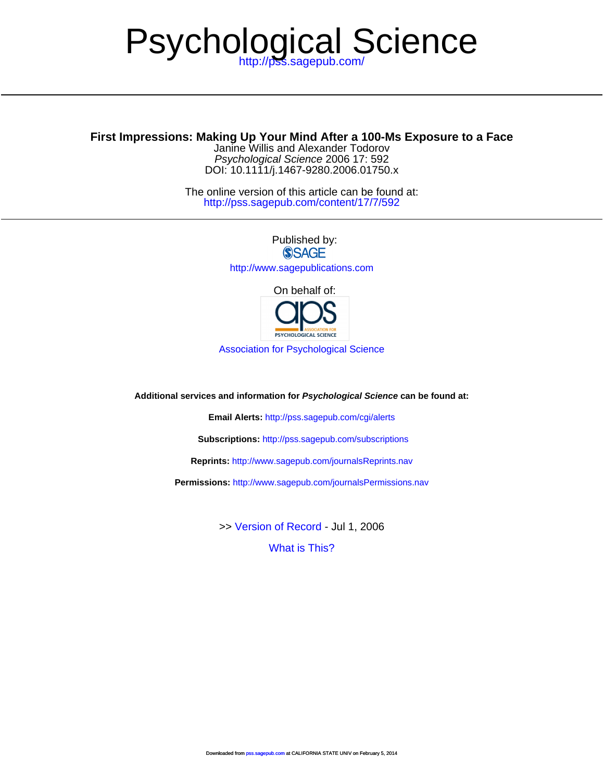# Psychol[ogical Sci](http://pss.sagepub.com/cgi/alerts)ence

#### **First Impressions: Making Up Your Mind After a 100-Ms Exposure to a Face**

DOI: [10.1111/j.1467-9280.2006.01750.x](http://www.sagepub.com/journalsPermissions.nav) Psychological Science 2006 17: 592 Janine Willis and Alexander Todorov

<http://pss.sagepub.com/content/17/7/592> The online version of this article can be found at:

> Published by:<br>
> SAGE <http://www.sagepublications.com> [On behalf of:](http://online.sagepub.com/site/sphelp/vorhelp.xhtml)



[Association for Psychological Science](http://www.psychologicalscience.org/)

**Additional services and information for Psychological Science can be found at:**

**Email Alerts:** <http://pss.sagepub.com/cgi/alerts>

**Subscriptions:** <http://pss.sagepub.com/subscriptions>

**Reprints:** <http://www.sagepub.com/journalsReprints.nav>

**Permissions:** <http://www.sagepub.com/journalsPermissions.nav>

>> [Version of Record -](http://pss.sagepub.com/content/17/7/592.full.pdf) Jul 1, 2006

[What is This?](http://online.sagepub.com/site/sphelp/vorhelp.xhtml)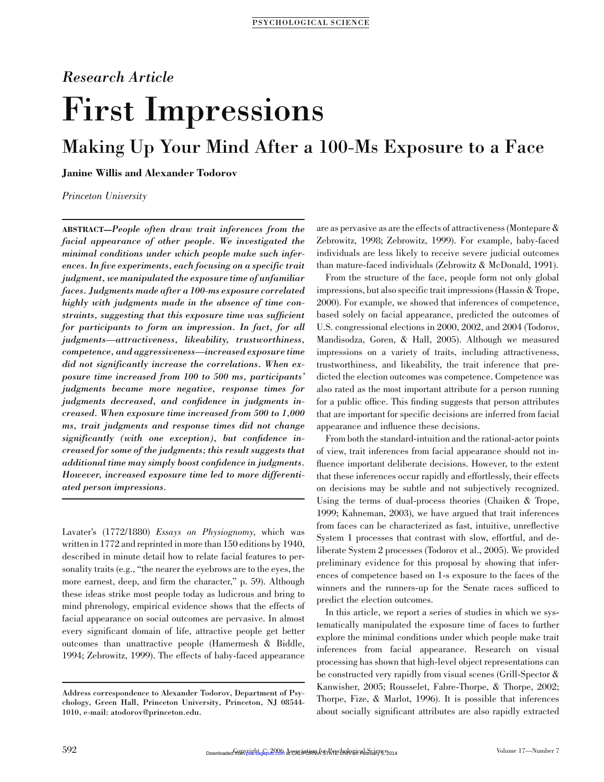### Research Article

## First Impressions

## Making Up Your Mind After a 100-Ms Exposure to a Face

Janine Willis and Alexander Todorov

Princeton University

ABSTRACT—People often draw trait inferences from the facial appearance of other people. We investigated the minimal conditions under which people make such inferences. In five experiments, each focusing on a specific trait judgment, we manipulated the exposure time of unfamiliar faces. Judgments made after a 100-ms exposure correlated highly with judgments made in the absence of time constraints, suggesting that this exposure time was sufficient for participants to form an impression. In fact, for all judgments—attractiveness, likeability, trustworthiness, competence, and aggressiveness—increased exposure time did not significantly increase the correlations. When exposure time increased from 100 to 500 ms, participants' judgments became more negative, response times for judgments decreased, and confidence in judgments increased. When exposure time increased from 500 to 1,000 ms, trait judgments and response times did not change significantly (with one exception), but confidence increased for some of the judgments; this result suggests that additional time may simply boost confidence in judgments. However, increased exposure time led to more differentiated person impressions.

Lavater's (1772/1880) Essays on Physiognomy, which was written in 1772 and reprinted in more than 150 editions by 1940, described in minute detail how to relate facial features to personality traits (e.g., ''the nearer the eyebrows are to the eyes, the more earnest, deep, and firm the character,'' p. 59). Although these ideas strike most people today as ludicrous and bring to mind phrenology, empirical evidence shows that the effects of facial appearance on social outcomes are pervasive. In almost every significant domain of life, attractive people get better outcomes than unattractive people (Hamermesh & Biddle, 1994; Zebrowitz, 1999). The effects of baby-faced appearance are as pervasive as are the effects of attractiveness (Montepare & Zebrowitz, 1998; Zebrowitz, 1999). For example, baby-faced individuals are less likely to receive severe judicial outcomes than mature-faced individuals (Zebrowitz & McDonald, 1991).

From the structure of the face, people form not only global impressions, but also specific trait impressions (Hassin & Trope, 2000). For example, we showed that inferences of competence, based solely on facial appearance, predicted the outcomes of U.S. congressional elections in 2000, 2002, and 2004 (Todorov, Mandisodza, Goren, & Hall, 2005). Although we measured impressions on a variety of traits, including attractiveness, trustworthiness, and likeability, the trait inference that predicted the election outcomes was competence. Competence was also rated as the most important attribute for a person running for a public office. This finding suggests that person attributes that are important for specific decisions are inferred from facial appearance and influence these decisions.

From both the standard-intuition and the rational-actor points of view, trait inferences from facial appearance should not influence important deliberate decisions. However, to the extent that these inferences occur rapidly and effortlessly, their effects on decisions may be subtle and not subjectively recognized. Using the terms of dual-process theories (Chaiken & Trope, 1999; Kahneman, 2003), we have argued that trait inferences from faces can be characterized as fast, intuitive, unreflective System 1 processes that contrast with slow, effortful, and deliberate System 2 processes (Todorov et al., 2005). We provided preliminary evidence for this proposal by showing that inferences of competence based on 1-s exposure to the faces of the winners and the runners-up for the Senate races sufficed to predict the election outcomes.

In this article, we report a series of studies in which we systematically manipulated the exposure time of faces to further explore the minimal conditions under which people make trait inferences from facial appearance. Research on visual processing has shown that high-level object representations can be constructed very rapidly from visual scenes (Grill-Spector & Kanwisher, 2005; Rousselet, Fabre-Thorpe, & Thorpe, 2002; Thorpe, Fize, & Marlot, 1996). It is possible that inferences about socially significant attributes are also rapidly extracted

Address correspondence to Alexander Todorov, Department of Psychology, Green Hall, Princeton University, Princeton, NJ 08544- 1010, e-mail: atodorov@princeton.edu.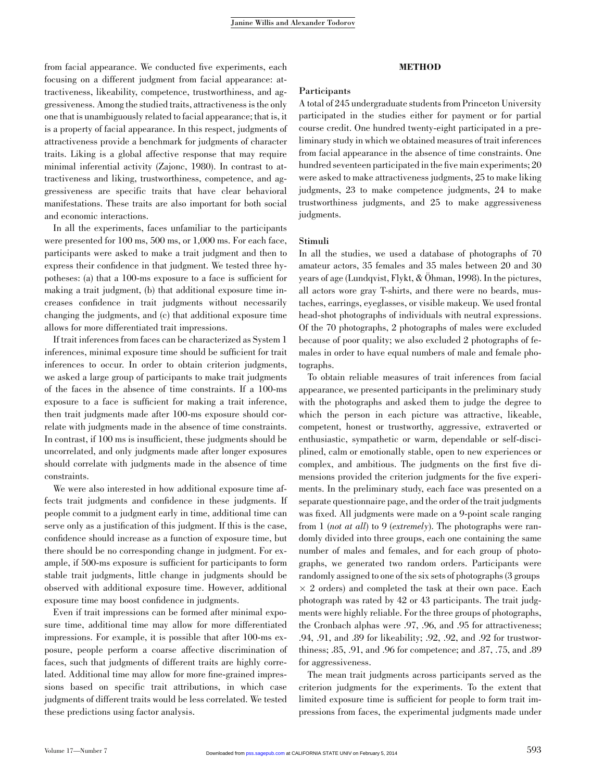#### from facial appearance. We conducted five experiments, each focusing on a different judgment from facial appearance: attractiveness, likeability, competence, trustworthiness, and aggressiveness. Among the studied traits, attractiveness is the only one that is unambiguously related to facial appearance; that is, it is a property of facial appearance. In this respect, judgments of attractiveness provide a benchmark for judgments of character traits. Liking is a global affective response that may require minimal inferential activity (Zajonc, 1980). In contrast to attractiveness and liking, trustworthiness, competence, and aggressiveness are specific traits that have clear behavioral manifestations. These traits are also important for both social and economic interactions.

In all the experiments, faces unfamiliar to the participants were presented for 100 ms, 500 ms, or 1,000 ms. For each face, participants were asked to make a trait judgment and then to express their confidence in that judgment. We tested three hypotheses: (a) that a 100-ms exposure to a face is sufficient for making a trait judgment, (b) that additional exposure time increases confidence in trait judgments without necessarily changing the judgments, and (c) that additional exposure time allows for more differentiated trait impressions.

If trait inferences from faces can be characterized as System 1 inferences, minimal exposure time should be sufficient for trait inferences to occur. In order to obtain criterion judgments, we asked a large group of participants to make trait judgments of the faces in the absence of time constraints. If a 100-ms exposure to a face is sufficient for making a trait inference, then trait judgments made after 100-ms exposure should correlate with judgments made in the absence of time constraints. In contrast, if 100 ms is insufficient, these judgments should be uncorrelated, and only judgments made after longer exposures should correlate with judgments made in the absence of time constraints.

We were also interested in how additional exposure time affects trait judgments and confidence in these judgments. If people commit to a judgment early in time, additional time can serve only as a justification of this judgment. If this is the case, confidence should increase as a function of exposure time, but there should be no corresponding change in judgment. For example, if 500-ms exposure is sufficient for participants to form stable trait judgments, little change in judgments should be observed with additional exposure time. However, additional exposure time may boost confidence in judgments.

Even if trait impressions can be formed after minimal exposure time, additional time may allow for more differentiated impressions. For example, it is possible that after 100-ms exposure, people perform a coarse affective discrimination of faces, such that judgments of different traits are highly correlated. Additional time may allow for more fine-grained impressions based on specific trait attributions, in which case judgments of different traits would be less correlated. We tested these predictions using factor analysis.

#### METHOD

#### Participants

A total of 245 undergraduate students from Princeton University participated in the studies either for payment or for partial course credit. One hundred twenty-eight participated in a preliminary study in which we obtained measures of trait inferences from facial appearance in the absence of time constraints. One hundred seventeen participated in the five main experiments; 20 were asked to make attractiveness judgments, 25 to make liking judgments, 23 to make competence judgments, 24 to make trustworthiness judgments, and 25 to make aggressiveness judgments.

#### Stimuli

In all the studies, we used a database of photographs of 70 amateur actors, 35 females and 35 males between 20 and 30 years of age (Lundqvist, Flykt,  $\&$  Öhman, 1998). In the pictures, all actors wore gray T-shirts, and there were no beards, mustaches, earrings, eyeglasses, or visible makeup. We used frontal head-shot photographs of individuals with neutral expressions. Of the 70 photographs, 2 photographs of males were excluded because of poor quality; we also excluded 2 photographs of females in order to have equal numbers of male and female photographs.

To obtain reliable measures of trait inferences from facial appearance, we presented participants in the preliminary study with the photographs and asked them to judge the degree to which the person in each picture was attractive, likeable, competent, honest or trustworthy, aggressive, extraverted or enthusiastic, sympathetic or warm, dependable or self-disciplined, calm or emotionally stable, open to new experiences or complex, and ambitious. The judgments on the first five dimensions provided the criterion judgments for the five experiments. In the preliminary study, each face was presented on a separate questionnaire page, and the order of the trait judgments was fixed. All judgments were made on a 9-point scale ranging from 1 (not at all) to 9 (extremely). The photographs were randomly divided into three groups, each one containing the same number of males and females, and for each group of photographs, we generated two random orders. Participants were randomly assigned to one of the six sets of photographs (3 groups  $\times$  2 orders) and completed the task at their own pace. Each photograph was rated by 42 or 43 participants. The trait judgments were highly reliable. For the three groups of photographs, the Cronbach alphas were .97, .96, and .95 for attractiveness; .94, .91, and .89 for likeability; .92, .92, and .92 for trustworthiness; .85, .91, and .96 for competence; and .87, .75, and .89 for aggressiveness.

The mean trait judgments across participants served as the criterion judgments for the experiments. To the extent that limited exposure time is sufficient for people to form trait impressions from faces, the experimental judgments made under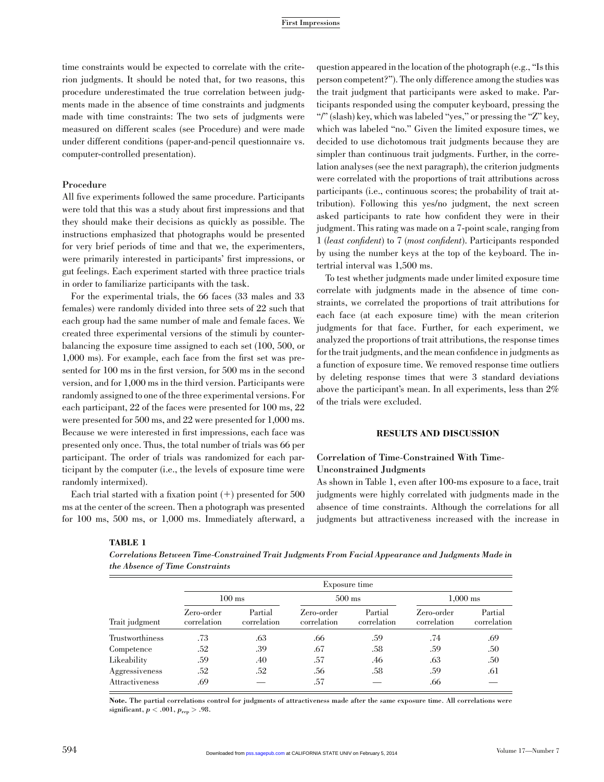time constraints would be expected to correlate with the criterion judgments. It should be noted that, for two reasons, this procedure underestimated the true correlation between judgments made in the absence of time constraints and judgments made with time constraints: The two sets of judgments were measured on different scales (see Procedure) and were made under different conditions (paper-and-pencil questionnaire vs. computer-controlled presentation).

#### Procedure

All five experiments followed the same procedure. Participants were told that this was a study about first impressions and that they should make their decisions as quickly as possible. The instructions emphasized that photographs would be presented for very brief periods of time and that we, the experimenters, were primarily interested in participants' first impressions, or gut feelings. Each experiment started with three practice trials in order to familiarize participants with the task.

For the experimental trials, the 66 faces (33 males and 33 females) were randomly divided into three sets of 22 such that each group had the same number of male and female faces. We created three experimental versions of the stimuli by counterbalancing the exposure time assigned to each set (100, 500, or 1,000 ms). For example, each face from the first set was presented for 100 ms in the first version, for 500 ms in the second version, and for 1,000 ms in the third version. Participants were randomly assigned to one of the three experimental versions. For each participant, 22 of the faces were presented for 100 ms, 22 were presented for 500 ms, and 22 were presented for 1,000 ms. Because we were interested in first impressions, each face was presented only once. Thus, the total number of trials was 66 per participant. The order of trials was randomized for each participant by the computer (i.e., the levels of exposure time were randomly intermixed).

Each trial started with a fixation point  $(+)$  presented for 500 ms at the center of the screen. Then a photograph was presented for 100 ms, 500 ms, or 1,000 ms. Immediately afterward, a

question appeared in the location of the photograph (e.g., ''Is this person competent?''). The only difference among the studies was the trait judgment that participants were asked to make. Participants responded using the computer keyboard, pressing the "/" (slash) key, which was labeled "yes," or pressing the "Z" key, which was labeled "no." Given the limited exposure times, we decided to use dichotomous trait judgments because they are simpler than continuous trait judgments. Further, in the correlation analyses (see the next paragraph), the criterion judgments were correlated with the proportions of trait attributions across participants (i.e., continuous scores; the probability of trait attribution). Following this yes/no judgment, the next screen asked participants to rate how confident they were in their judgment. This rating was made on a 7-point scale, ranging from 1 (least confident) to 7 (most confident). Participants responded by using the number keys at the top of the keyboard. The intertrial interval was 1,500 ms.

To test whether judgments made under limited exposure time correlate with judgments made in the absence of time constraints, we correlated the proportions of trait attributions for each face (at each exposure time) with the mean criterion judgments for that face. Further, for each experiment, we analyzed the proportions of trait attributions, the response times for the trait judgments, and the mean confidence in judgments as a function of exposure time. We removed response time outliers by deleting response times that were 3 standard deviations above the participant's mean. In all experiments, less than 2% of the trials were excluded.

#### RESULTS AND DISCUSSION

#### Correlation of Time-Constrained With Time-Unconstrained Judgments

As shown in Table 1, even after 100-ms exposure to a face, trait judgments were highly correlated with judgments made in the absence of time constraints. Although the correlations for all judgments but attractiveness increased with the increase in

#### TABLE 1

Correlations Between Time-Constrained Trait Judgments From Facial Appearance and Judgments Made in the Absence of Time Constraints

| Trait judgment  | Exposure time             |                        |                           |                        |                           |                        |  |  |
|-----------------|---------------------------|------------------------|---------------------------|------------------------|---------------------------|------------------------|--|--|
|                 | $100 \text{ ms}$          |                        | $500 \text{ ms}$          |                        | $1,000$ ms                |                        |  |  |
|                 | Zero-order<br>correlation | Partial<br>correlation | Zero-order<br>correlation | Partial<br>correlation | Zero-order<br>correlation | Partial<br>correlation |  |  |
| Trustworthiness | .73                       | .63                    | .66                       | .59                    | .74                       | .69                    |  |  |
| Competence      | .52                       | .39                    | .67                       | .58                    | .59                       | .50                    |  |  |
| Likeability     | .59                       | .40                    | .57                       | .46                    | .63                       | .50                    |  |  |
| Aggressiveness  | .52                       | .52                    | .56                       | .58                    | .59                       | .61                    |  |  |
| Attractiveness  | .69                       |                        | .57                       |                        | .66                       |                        |  |  |

Note. The partial correlations control for judgments of attractiveness made after the same exposure time. All correlations were significant,  $p<.001, p_{\rm rep}>.98.$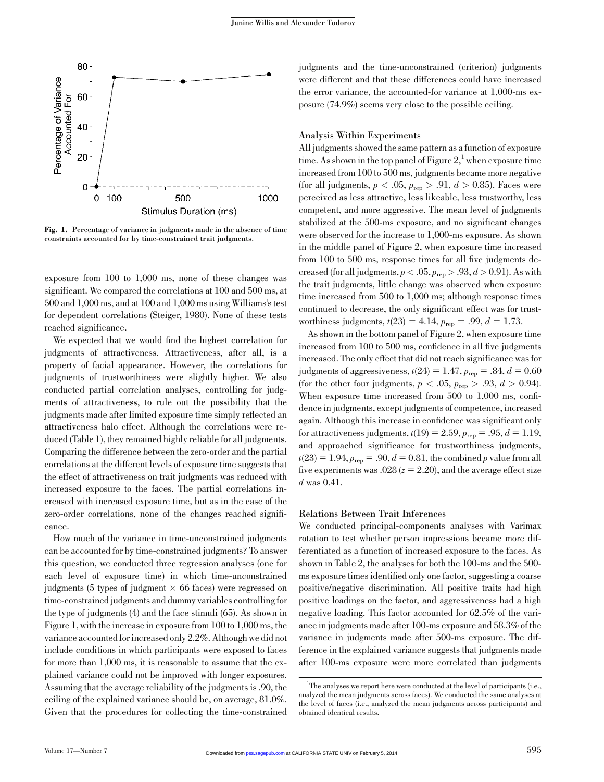

Fig. 1. Percentage of variance in judgments made in the absence of time constraints accounted for by time-constrained trait judgments.

exposure from 100 to 1,000 ms, none of these changes was significant. We compared the correlations at 100 and 500 ms, at 500 and 1,000 ms, and at 100 and 1,000 ms using Williams's test for dependent correlations (Steiger, 1980). None of these tests reached significance.

We expected that we would find the highest correlation for judgments of attractiveness. Attractiveness, after all, is a property of facial appearance. However, the correlations for judgments of trustworthiness were slightly higher. We also conducted partial correlation analyses, controlling for judgments of attractiveness, to rule out the possibility that the judgments made after limited exposure time simply reflected an attractiveness halo effect. Although the correlations were reduced (Table 1), they remained highly reliable for all judgments. Comparing the difference between the zero-order and the partial correlations at the different levels of exposure time suggests that the effect of attractiveness on trait judgments was reduced with increased exposure to the faces. The partial correlations increased with increased exposure time, but as in the case of the zero-order correlations, none of the changes reached significance.

How much of the variance in time-unconstrained judgments can be accounted for by time-constrained judgments? To answer this question, we conducted three regression analyses (one for each level of exposure time) in which time-unconstrained  $j$ udgments (5 types of  $j$ udgment  $\times$  66 faces) were regressed on time-constrained judgments and dummy variables controlling for the type of judgments (4) and the face stimuli (65). As shown in Figure 1, with the increase in exposure from 100 to 1,000 ms, the variance accounted for increased only 2.2%. Although we did not include conditions in which participants were exposed to faces for more than 1,000 ms, it is reasonable to assume that the explained variance could not be improved with longer exposures. Assuming that the average reliability of the judgments is .90, the ceiling of the explained variance should be, on average, 81.0%. Given that the procedures for collecting the time-constrained judgments and the time-unconstrained (criterion) judgments were different and that these differences could have increased the error variance, the accounted-for variance at 1,000-ms exposure (74.9%) seems very close to the possible ceiling.

#### Analysis Within Experiments

All judgments showed the same pattern as a function of exposure time. As shown in the top panel of Figure  $2<sup>1</sup>$ , when exposure time increased from 100 to 500 ms, judgments became more negative (for all judgments,  $p < .05$ ,  $p_{\text{rep}} > .91$ ,  $d > 0.85$ ). Faces were perceived as less attractive, less likeable, less trustworthy, less competent, and more aggressive. The mean level of judgments stabilized at the 500-ms exposure, and no significant changes were observed for the increase to 1,000-ms exposure. As shown in the middle panel of Figure 2, when exposure time increased from 100 to 500 ms, response times for all five judgments decreased (for all judgments,  $p < .05$ ,  $p_{\text{rep}} > .93$ ,  $d > 0.91$ ). As with the trait judgments, little change was observed when exposure time increased from 500 to 1,000 ms; although response times continued to decrease, the only significant effect was for trustworthiness judgments,  $t(23) = 4.14$ ,  $p_{\text{rep}} = .99$ ,  $d = 1.73$ .

As shown in the bottom panel of Figure 2, when exposure time increased from 100 to 500 ms, confidence in all five judgments increased. The only effect that did not reach significance was for judgments of aggressiveness,  $t(24) = 1.47$ ,  $p_{\text{rep}} = .84$ ,  $d = 0.60$ (for the other four judgments,  $p < .05$ ,  $p_{\text{rep}} > .93$ ,  $d > 0.94$ ). When exposure time increased from 500 to 1,000 ms, confidence in judgments, except judgments of competence, increased again. Although this increase in confidence was significant only for attractiveness judgments,  $t(19) = 2.59$ ,  $p_{\text{rep}} = .95$ ,  $d = 1.19$ , and approached significance for trustworthiness judgments,  $t(23) = 1.94, p_{\text{rep}} = .90, d = 0.81$ , the combined p value from all five experiments was  $.028 (z = 2.20)$ , and the average effect size d was 0.41.

#### Relations Between Trait Inferences

We conducted principal-components analyses with Varimax rotation to test whether person impressions became more differentiated as a function of increased exposure to the faces. As shown in Table 2, the analyses for both the 100-ms and the 500 ms exposure times identified only one factor, suggesting a coarse positive/negative discrimination. All positive traits had high positive loadings on the factor, and aggressiveness had a high negative loading. This factor accounted for 62.5% of the variance in judgments made after 100-ms exposure and 58.3% of the variance in judgments made after 500-ms exposure. The difference in the explained variance suggests that judgments made after 100-ms exposure were more correlated than judgments

<sup>&</sup>lt;sup>1</sup>The analyses we report here were conducted at the level of participants (i.e., analyzed the mean judgments across faces). We conducted the same analyses at the level of faces (i.e., analyzed the mean judgments across participants) and obtained identical results.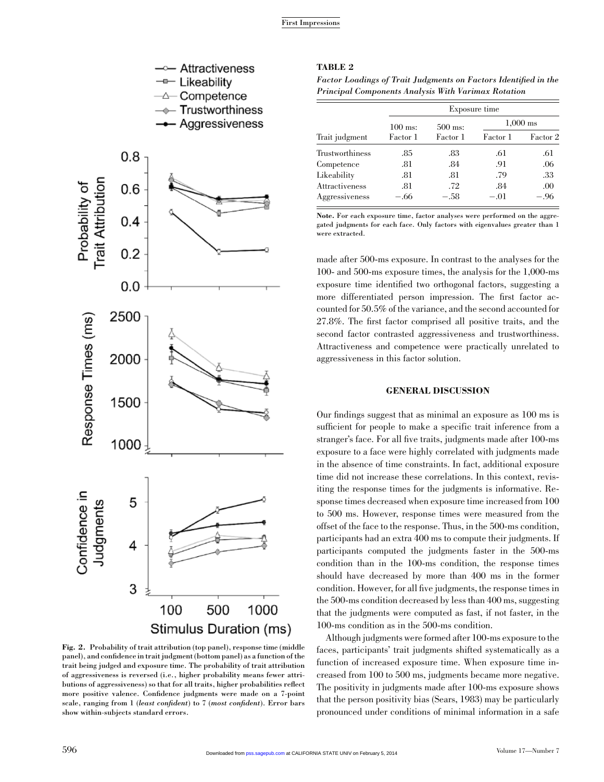

Fig. 2. Probability of trait attribution (top panel), response time (middle panel), and confidence in trait judgment (bottom panel) as a function of the trait being judged and exposure time. The probability of trait attribution of aggressiveness is reversed (i.e., higher probability means fewer attributions of aggressiveness) so that for all traits, higher probabilities reflect more positive valence. Confidence judgments were made on a 7-point scale, ranging from 1 (least confident) to 7 (most confident). Error bars show within-subjects standard errors.

#### TABLE 2

Factor Loadings of Trait Judgments on Factors Identified in the Principal Components Analysis With Varimax Rotation

|                 | Exposure time         |           |            |          |  |  |
|-----------------|-----------------------|-----------|------------|----------|--|--|
|                 | $100$ ms:<br>Factor 1 | $500$ ms: | $1,000$ ms |          |  |  |
| Trait judgment  |                       | Factor 1  | Factor 1   | Factor 2 |  |  |
| Trustworthiness | .85                   | .83       | .61        | .61      |  |  |
| Competence      | .81                   | .84       | .91        | .06      |  |  |
| Likeability     | .81                   | .81       | .79        | .33      |  |  |
| Attractiveness  | .81                   | .72       | .84        | .00      |  |  |
| Aggressiveness  | $-.66$                | $-.58$    | $-.01$     | -.96     |  |  |

Note. For each exposure time, factor analyses were performed on the aggregated judgments for each face. Only factors with eigenvalues greater than 1 were extracted.

made after 500-ms exposure. In contrast to the analyses for the 100- and 500-ms exposure times, the analysis for the 1,000-ms exposure time identified two orthogonal factors, suggesting a more differentiated person impression. The first factor accounted for 50.5% of the variance, and the second accounted for 27.8%. The first factor comprised all positive traits, and the second factor contrasted aggressiveness and trustworthiness. Attractiveness and competence were practically unrelated to aggressiveness in this factor solution.

#### GENERAL DISCUSSION

Our findings suggest that as minimal an exposure as 100 ms is sufficient for people to make a specific trait inference from a stranger's face. For all five traits, judgments made after 100-ms exposure to a face were highly correlated with judgments made in the absence of time constraints. In fact, additional exposure time did not increase these correlations. In this context, revisiting the response times for the judgments is informative. Response times decreased when exposure time increased from 100 to 500 ms. However, response times were measured from the offset of the face to the response. Thus, in the 500-ms condition, participants had an extra 400 ms to compute their judgments. If participants computed the judgments faster in the 500-ms condition than in the 100-ms condition, the response times should have decreased by more than 400 ms in the former condition. However, for all five judgments, the response times in the 500-ms condition decreased by less than 400 ms, suggesting that the judgments were computed as fast, if not faster, in the 100-ms condition as in the 500-ms condition.

Although judgments were formed after 100-ms exposure to the faces, participants' trait judgments shifted systematically as a function of increased exposure time. When exposure time increased from 100 to 500 ms, judgments became more negative. The positivity in judgments made after 100-ms exposure shows that the person positivity bias (Sears, 1983) may be particularly pronounced under conditions of minimal information in a safe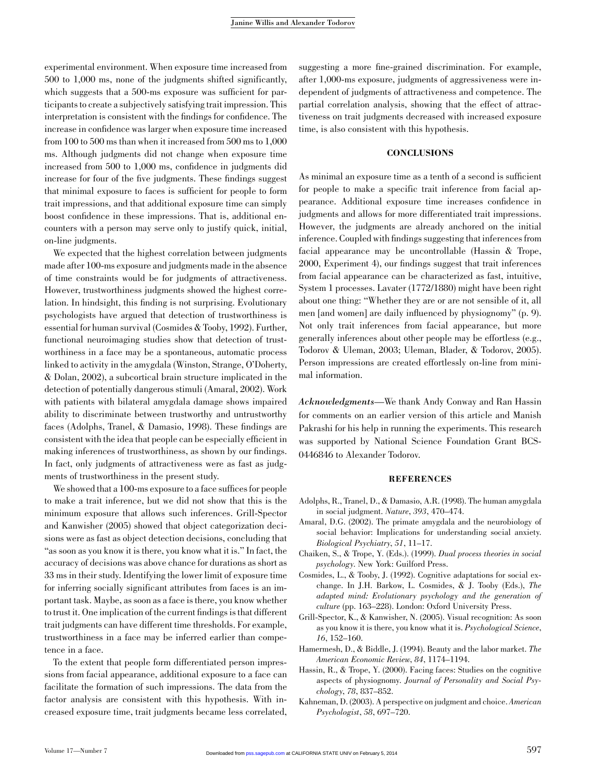experimental environment. When exposure time increased from 500 to 1,000 ms, none of the judgments shifted significantly, which suggests that a 500-ms exposure was sufficient for participants to create a subjectively satisfying trait impression. This interpretation is consistent with the findings for confidence. The increase in confidence was larger when exposure time increased from 100 to 500 ms than when it increased from 500 ms to 1,000 ms. Although judgments did not change when exposure time increased from 500 to 1,000 ms, confidence in judgments did increase for four of the five judgments. These findings suggest that minimal exposure to faces is sufficient for people to form trait impressions, and that additional exposure time can simply boost confidence in these impressions. That is, additional encounters with a person may serve only to justify quick, initial, on-line judgments.

We expected that the highest correlation between judgments made after 100-ms exposure and judgments made in the absence of time constraints would be for judgments of attractiveness. However, trustworthiness judgments showed the highest correlation. In hindsight, this finding is not surprising. Evolutionary psychologists have argued that detection of trustworthiness is essential for human survival (Cosmides & Tooby, 1992). Further, functional neuroimaging studies show that detection of trustworthiness in a face may be a spontaneous, automatic process linked to activity in the amygdala (Winston, Strange, O'Doherty, & Dolan, 2002), a subcortical brain structure implicated in the detection of potentially dangerous stimuli (Amaral, 2002). Work with patients with bilateral amygdala damage shows impaired ability to discriminate between trustworthy and untrustworthy faces (Adolphs, Tranel, & Damasio, 1998). These findings are consistent with the idea that people can be especially efficient in making inferences of trustworthiness, as shown by our findings. In fact, only judgments of attractiveness were as fast as judgments of trustworthiness in the present study.

We showed that a 100-ms exposure to a face suffices for people to make a trait inference, but we did not show that this is the minimum exposure that allows such inferences. Grill-Spector and Kanwisher (2005) showed that object categorization decisions were as fast as object detection decisions, concluding that "as soon as you know it is there, you know what it is." In fact, the accuracy of decisions was above chance for durations as short as 33 ms in their study. Identifying the lower limit of exposure time for inferring socially significant attributes from faces is an important task. Maybe, as soon as a face is there, you know whether to trust it. One implication of the current findings is that different trait judgments can have different time thresholds. For example, trustworthiness in a face may be inferred earlier than competence in a face.

To the extent that people form differentiated person impressions from facial appearance, additional exposure to a face can facilitate the formation of such impressions. The data from the factor analysis are consistent with this hypothesis. With increased exposure time, trait judgments became less correlated, suggesting a more fine-grained discrimination. For example, after 1,000-ms exposure, judgments of aggressiveness were independent of judgments of attractiveness and competence. The partial correlation analysis, showing that the effect of attractiveness on trait judgments decreased with increased exposure time, is also consistent with this hypothesis.

#### **CONCLUSIONS**

As minimal an exposure time as a tenth of a second is sufficient for people to make a specific trait inference from facial appearance. Additional exposure time increases confidence in judgments and allows for more differentiated trait impressions. However, the judgments are already anchored on the initial inference. Coupled with findings suggesting that inferences from facial appearance may be uncontrollable (Hassin & Trope, 2000, Experiment 4), our findings suggest that trait inferences from facial appearance can be characterized as fast, intuitive, System 1 processes. Lavater (1772/1880) might have been right about one thing: ''Whether they are or are not sensible of it, all men [and women] are daily influenced by physiognomy'' (p. 9). Not only trait inferences from facial appearance, but more generally inferences about other people may be effortless (e.g., Todorov & Uleman, 2003; Uleman, Blader, & Todorov, 2005). Person impressions are created effortlessly on-line from minimal information.

Acknowledgments—We thank Andy Conway and Ran Hassin for comments on an earlier version of this article and Manish Pakrashi for his help in running the experiments. This research was supported by National Science Foundation Grant BCS-0446846 to Alexander Todorov.

#### REFERENCES

- Adolphs, R., Tranel, D., & Damasio, A.R. (1998). The human amygdala in social judgment. Nature, 393, 470–474.
- Amaral, D.G. (2002). The primate amygdala and the neurobiology of social behavior: Implications for understanding social anxiety. Biological Psychiatry, 51, 11–17.
- Chaiken, S., & Trope, Y. (Eds.). (1999). Dual process theories in social psychology. New York: Guilford Press.
- Cosmides, L., & Tooby, J. (1992). Cognitive adaptations for social exchange. In J.H. Barkow, L. Cosmides, & J. Tooby (Eds.), The adapted mind: Evolutionary psychology and the generation of culture (pp. 163–228). London: Oxford University Press.
- Grill-Spector, K., & Kanwisher, N. (2005). Visual recognition: As soon as you know it is there, you know what it is. Psychological Science, 16, 152–160.
- Hamermesh, D., & Biddle, J. (1994). Beauty and the labor market. The American Economic Review, 84, 1174–1194.
- Hassin, R., & Trope, Y. (2000). Facing faces: Studies on the cognitive aspects of physiognomy. Journal of Personality and Social Psychology, 78, 837–852.
- Kahneman, D. (2003). A perspective on judgment and choice. American Psychologist, 58, 697–720.